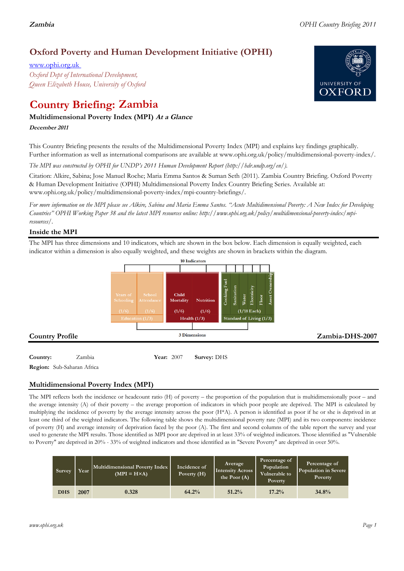# **Oxford Poverty and Human Development Initiative (OPHI)**

www.ophi.org.uk *Oxford Dept of International Development, Queen Elizabeth House, University of Oxford*

# **Country Briefing: Zambia**

## **Multidimensional Poverty Index (MPI) At <sup>a</sup> Glance**

**December <sup>2011</sup>**

This Country Briefing presents the results of the Multidimensional Poverty Index (MPI) and explains key findings graphically. Further information as well as international comparisons are available at www.ophi.org.uk/policy/multidimensional-poverty-index/.

*The MPI was constructed by OPHI for UNDP's 2011 Human Development Report (http://hdr.undp.org/en/).*

Citation: Alkire, Sabina; Jose Manuel Roche; Maria Emma Santos & Suman Seth (2011). Zambia Country Briefing. Oxford Poverty & Human Development Initiative (OPHI) Multidimensional Poverty Index Country Briefing Series. Available at: www.ophi.org.uk/policy/multidimensional-poverty-index/mpi-country-briefings/.

*For more information on the MPI please see Alkire, Sabina and Maria Emma Santos. "Acute Multidimensional Poverty: A New Index for Developing Countries" OPHI Working Paper 38 and the latest MPI resources online: http://www.ophi.org.uk/policy/multidimensional-poverty-index/mpiresources/.*

## **Inside the MPI**

The MPI has three dimensions and 10 indicators, which are shown in the box below. Each dimension is equally weighted, each indicator within a dimension is also equally weighted, and these weights are shown in brackets within the diagram.



# **Country:** 2007 **Survey:** DHS

**Region:** Sub-Saharan Africa

# **Multidimensional Poverty Index (MPI)**

The MPI reflects both the incidence or headcount ratio (H) of poverty – the proportion of the population that is multidimensionally poor – and the average intensity (A) of their poverty – the average proportion of indicators in which poor people are deprived. The MPI is calculated by multiplying the incidence of poverty by the average intensity across the poor (H\*A). A person is identified as poor if he or she is deprived in at least one third of the weighted indicators. The following table shows the multidimensional poverty rate (MPI) and its two components: incidence of poverty (H) and average intensity of deprivation faced by the poor (A). The first and second columns of the table report the survey and year used to generate the MPI results. Those identified as MPI poor are deprived in at least 33% of weighted indicators. Those identified as "Vulnerable to Poverty" are deprived in 20% - 33% of weighted indicators and those identified as in "Severe Poverty" are deprived in over 50%.

| Survey     | Year | Multidimensional Poverty Index<br>$(MPI = H \times A)$ | Incidence of<br>Poverty $(H)$ | Average<br><b>Intensity Across</b><br>the Poor $(A)$ | Percentage of<br>Population<br>Vulnerable to<br>Poverty | Percentage of<br>Population in Severe<br>Poverty |
|------------|------|--------------------------------------------------------|-------------------------------|------------------------------------------------------|---------------------------------------------------------|--------------------------------------------------|
| <b>DHS</b> | 2007 | 0.328                                                  | 64.2%                         | 51.2%                                                | 17.2%                                                   | 34.8%                                            |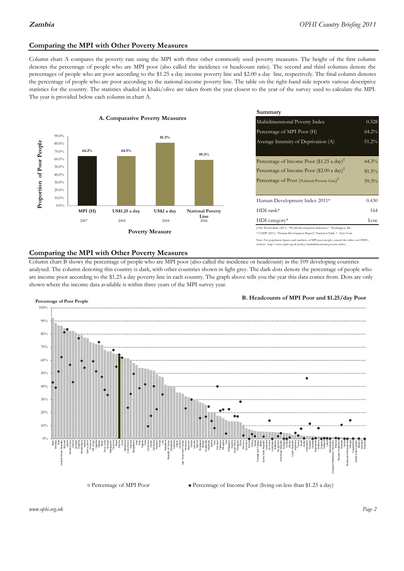## **Comparing the MPI with Other Poverty Measures**

Column chart A compares the poverty rate using the MPI with three other commonly used poverty measures. The height of the first column denotes the percentage of people who are MPI poor (also called the incidence or headcount ratio). The second and third columns denote the percentages of people who are poor according to the \$1.25 a day income poverty line and \$2.00 a day line, respectively. The final column denotes the percentage of people who are poor according to the national income poverty line. The table on the right-hand side reports various descriptive statistics for the country. The statistics shaded in khaki/olive are taken from the year closest to the year of the survey used to calculate the MPI. The year is provided below each column in chart A.



|                 |                         | Summary                                                                                                                                                    |          |  |  |
|-----------------|-------------------------|------------------------------------------------------------------------------------------------------------------------------------------------------------|----------|--|--|
| erty Measures   |                         | Multidimensional Poverty Index<br>0.328                                                                                                                    |          |  |  |
|                 |                         | Percentage of MPI Poor (H)                                                                                                                                 |          |  |  |
| 81.5%           |                         | Average Intensity of Deprivation (A)                                                                                                                       | $51.2\%$ |  |  |
|                 | 59.3%                   | Percentage of Income Poor (\$1.25 a day) <sup><math>\ddagger</math></sup>                                                                                  | $64.3\%$ |  |  |
|                 |                         | Percentage of Income Poor (\$2.00 a day) <sup><math>\ddagger</math></sup>                                                                                  | $81.5\%$ |  |  |
|                 |                         | Percentage of Poor (National Poverty Line) <sup>#</sup>                                                                                                    | 59.3%    |  |  |
|                 |                         | Human Development Index 2011*                                                                                                                              | 0.430    |  |  |
| US\$2 a day     | <b>National Poverty</b> | $HDI$ rank*                                                                                                                                                | 164      |  |  |
| 2004            | Line<br>2006            | $HDI category*$                                                                                                                                            | Low      |  |  |
| <b>⁄Ieasure</b> |                         | $\pm$ The World Bank (2011). "World Development Indicators." Washington, DC.<br>* UNDP (2011). "Human Development Report", Statistical Table 1 . New York. |          |  |  |

te: For population figures and numbers of MPI poor people, consult the tables on OPHI's te: http://www.ophi.org.uk/policy/multidimensional-poverty-index/

#### **Comparing the MPI with Other Poverty Measures**

Column chart B shows the percentage of people who are MPI poor (also called the incidence or headcount) in the 109 developing countries analysed. The column denoting this country is dark, with other countries shown in light grey. The dark dots denote the percentage of people who are income poor according to the \$1.25 a day poverty line in each country. The graph above tells you the year this data comes from. Dots are only shown where the income data available is within three years of the MPI survey year.



**B. Headcounts of MPI Poor and \$1.25/day Poor**

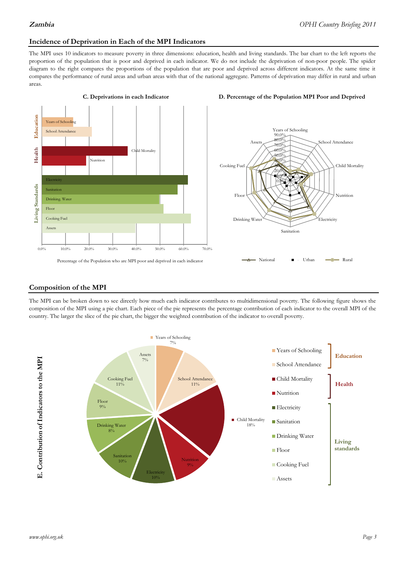# **Incidence of Deprivation in Each of the MPI Indicators**

The MPI uses 10 indicators to measure poverty in three dimensions: education, health and living standards. The bar chart to the left reports the proportion of the population that is poor and deprived in each indicator. We do not include the deprivation of non-poor people. The spider diagram to the right compares the proportions of the population that are poor and deprived across different indicators. At the same time it compares the performance of rural areas and urban areas with that of the national aggregate. Patterns of deprivation may differ in rural and urban areas.







#### **Composition of the MPI**

The MPI can be broken down to see directly how much each indicator contributes to multidimensional poverty. The following figure shows the composition of the MPI using a pie chart. Each piece of the pie represents the percentage contribution of each indicator to the overall MPI of the country. The larger the slice of the pie chart, the bigger the weighted contribution of the indicator to overall poverty.

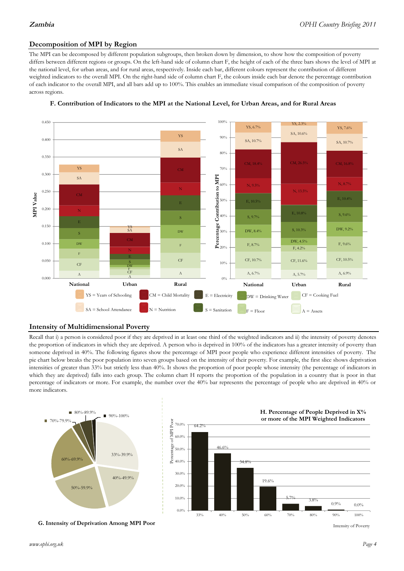### **Decomposition of MPI by Region**

The MPI can be decomposed by different population subgroups, then broken down by dimension, to show how the composition of poverty differs between different regions or groups. On the left-hand side of column chart F, the height of each of the three bars shows the level of MPI at the national level, for urban areas, and for rural areas, respectively. Inside each bar, different colours represent the contribution of different weighted indicators to the overall MPI. On the right-hand side of column chart F, the colours inside each bar denote the percentage contribution of each indicator to the overall MPI, and all bars add up to 100%. This enables an immediate visual comparison of the composition of poverty across regions.





#### **Intensity of Multidimensional Poverty**

Recall that i) a person is considered poor if they are deprived in at least one third of the weighted indicators and ii) the intensity of poverty denotes the proportion of indicators in which they are deprived. A person who is deprived in 100% of the indicators has a greater intensity of poverty than someone deprived in 40%. The following figures show the percentage of MPI poor people who experience different intensities of poverty. The pie chart below breaks the poor population into seven groups based on the intensity of their poverty. For example, the first slice shows deprivation intensities of greater than 33% but strictly less than 40%. It shows the proportion of poor people whose intensity (the percentage of indicators in which they are deprived) falls into each group. The column chart H reports the proportion of the population in a country that is poor in that percentage of indicators or more. For example, the number over the 40% bar represents the percentage of people who are deprived in 40% or more indicators.



**G. Intensity of Deprivation Among MPI Poor**



Intensity of Poverty